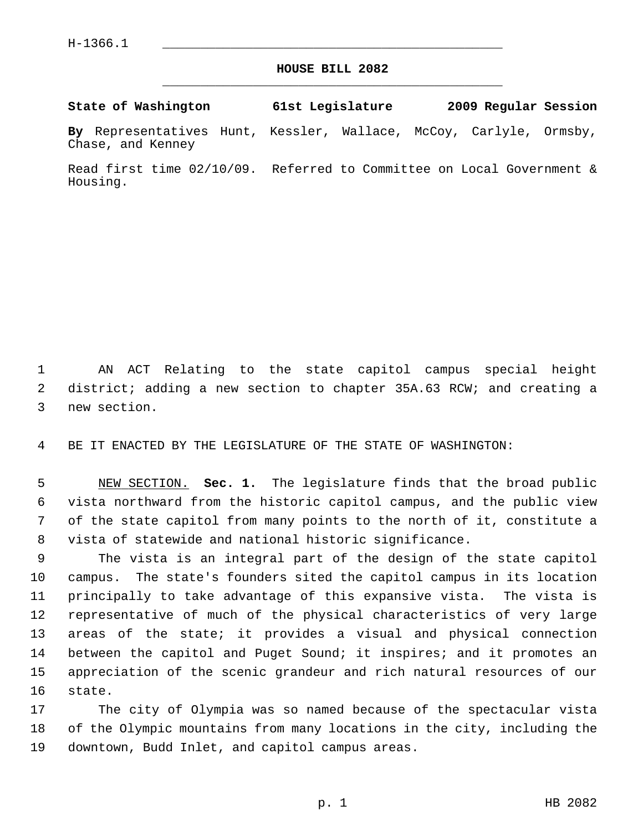## **HOUSE BILL 2082** \_\_\_\_\_\_\_\_\_\_\_\_\_\_\_\_\_\_\_\_\_\_\_\_\_\_\_\_\_\_\_\_\_\_\_\_\_\_\_\_\_\_\_\_\_

## **State of Washington 61st Legislature 2009 Regular Session**

**By** Representatives Hunt, Kessler, Wallace, McCoy, Carlyle, Ormsby, Chase, and Kenney

Read first time 02/10/09. Referred to Committee on Local Government & Housing.

 1 AN ACT Relating to the state capitol campus special height 2 district; adding a new section to chapter 35A.63 RCW; and creating a 3 new section.

4 BE IT ENACTED BY THE LEGISLATURE OF THE STATE OF WASHINGTON:

 5 NEW SECTION. **Sec. 1.** The legislature finds that the broad public 6 vista northward from the historic capitol campus, and the public view 7 of the state capitol from many points to the north of it, constitute a 8 vista of statewide and national historic significance.

 9 The vista is an integral part of the design of the state capitol 10 campus. The state's founders sited the capitol campus in its location 11 principally to take advantage of this expansive vista. The vista is 12 representative of much of the physical characteristics of very large 13 areas of the state; it provides a visual and physical connection 14 between the capitol and Puget Sound; it inspires; and it promotes an 15 appreciation of the scenic grandeur and rich natural resources of our 16 state.

17 The city of Olympia was so named because of the spectacular vista 18 of the Olympic mountains from many locations in the city, including the 19 downtown, Budd Inlet, and capitol campus areas.